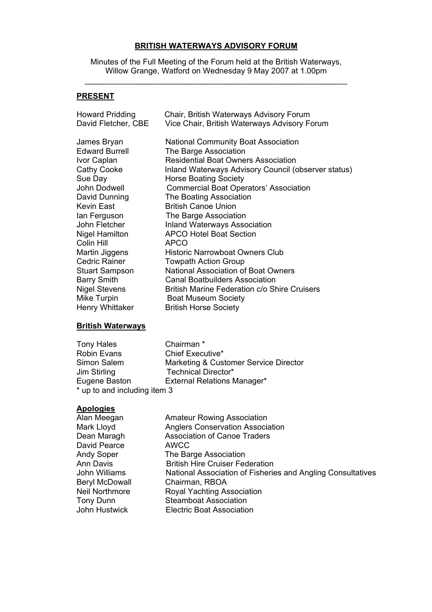## **BRITISH WATERWAYS ADVISORY FORUM**

Minutes of the Full Meeting of the Forum held at the British Waterways, Willow Grange, Watford on Wednesday 9 May 2007 at 1.00pm \_\_\_\_\_\_\_\_\_\_\_\_\_\_\_\_\_\_\_\_\_\_\_\_\_\_\_\_\_\_\_\_\_\_\_\_\_\_\_\_\_\_\_\_\_\_\_\_\_\_\_\_\_\_\_\_\_\_\_

## **PRESENT**

| Howard Pridding<br>David Fletcher, CBE | Chair, British Waterways Advisory Forum<br>Vice Chair, British Waterways Advisory Forum |
|----------------------------------------|-----------------------------------------------------------------------------------------|
|                                        |                                                                                         |
| James Bryan                            | <b>National Community Boat Association</b>                                              |
| <b>Edward Burrell</b>                  | The Barge Association                                                                   |
| Ivor Caplan                            | <b>Residential Boat Owners Association</b>                                              |
| Cathy Cooke                            | Inland Waterways Advisory Council (observer status)                                     |
| Sue Day                                | <b>Horse Boating Society</b>                                                            |
| John Dodwell                           | <b>Commercial Boat Operators' Association</b>                                           |
| David Dunning                          | The Boating Association                                                                 |
| Kevin East                             | <b>British Canoe Union</b>                                                              |
| lan Ferguson                           | The Barge Association                                                                   |
| John Fletcher                          | <b>Inland Waterways Association</b>                                                     |
| <b>Nigel Hamilton</b>                  | <b>APCO Hotel Boat Section</b>                                                          |
| Colin Hill                             | <b>APCO</b>                                                                             |
| Martin Jiggens                         | <b>Historic Narrowboat Owners Club</b>                                                  |
| Cedric Rainer                          | <b>Towpath Action Group</b>                                                             |
| <b>Stuart Sampson</b>                  | <b>National Association of Boat Owners</b>                                              |
| <b>Barry Smith</b>                     | <b>Canal Boatbuilders Association</b>                                                   |
| <b>Nigel Stevens</b>                   | <b>British Marine Federation c/o Shire Cruisers</b>                                     |
| Mike Turpin                            | <b>Boat Museum Society</b>                                                              |
| Henry Whittaker                        | <b>British Horse Society</b>                                                            |
|                                        |                                                                                         |

#### **British Waterways**

Tony Hales Chairman \* Robin Evans Chief Executive\*<br>
Simon Salem Marketing & Cust Simon Salem Marketing & Customer Service Director Jim Stirling Technical Director\* Eugene Baston External Relations Manager\* \* up to and including item 3

#### **Apologies**

| Alan Meegan           | <b>Amateur Rowing Association</b>                           |
|-----------------------|-------------------------------------------------------------|
| Mark Lloyd            | <b>Anglers Conservation Association</b>                     |
| Dean Maragh           | <b>Association of Canoe Traders</b>                         |
| David Pearce          | <b>AWCC</b>                                                 |
| <b>Andy Soper</b>     | The Barge Association                                       |
| Ann Davis             | <b>British Hire Cruiser Federation</b>                      |
| John Williams         | National Association of Fisheries and Angling Consultatives |
| <b>Beryl McDowall</b> | Chairman, RBOA                                              |
| <b>Neil Northmore</b> | Royal Yachting Association                                  |
| Tony Dunn             | <b>Steamboat Association</b>                                |
| John Hustwick         | <b>Electric Boat Association</b>                            |
|                       |                                                             |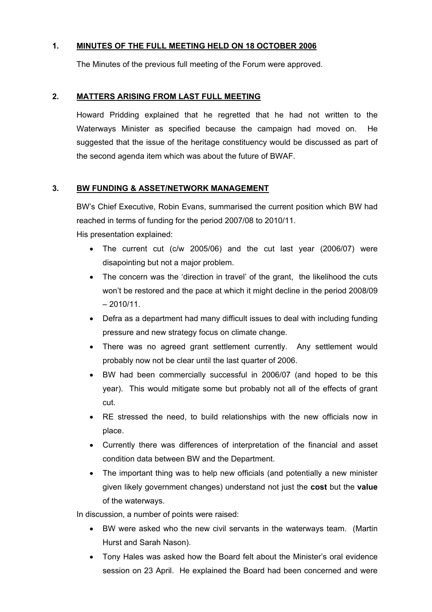# **1. MINUTES OF THE FULL MEETING HELD ON 18 OCTOBER 2006**

The Minutes of the previous full meeting of the Forum were approved.

#### **2. MATTERS ARISING FROM LAST FULL MEETING**

Howard Pridding explained that he regretted that he had not written to the Waterways Minister as specified because the campaign had moved on. He suggested that the issue of the heritage constituency would be discussed as part of the second agenda item which was about the future of BWAF.

## **3. BW FUNDING & ASSET/NETWORK MANAGEMENT**

BW's Chief Executive, Robin Evans, summarised the current position which BW had reached in terms of funding for the period 2007/08 to 2010/11. His presentation explained:

- The current cut (c/w 2005/06) and the cut last year (2006/07) were disapointing but not a major problem.
- The concern was the 'direction in travel' of the grant, the likelihood the cuts won't be restored and the pace at which it might decline in the period 2008/09  $-2010/11$ .
- Defra as a department had many difficult issues to deal with including funding pressure and new strategy focus on climate change.
- There was no agreed grant settlement currently. Any settlement would probably now not be clear until the last quarter of 2006.
- BW had been commercially successful in 2006/07 (and hoped to be this year). This would mitigate some but probably not all of the effects of grant cut.
- RE stressed the need, to build relationships with the new officials now in place.
- Currently there was differences of interpretation of the financial and asset condition data between BW and the Department.
- The important thing was to help new officials (and potentially a new minister given likely government changes) understand not just the **cost** but the **value** of the waterways.

In discussion, a number of points were raised:

- BW were asked who the new civil servants in the waterways team. (Martin Hurst and Sarah Nason).
- Tony Hales was asked how the Board felt about the Minister's oral evidence session on 23 April. He explained the Board had been concerned and were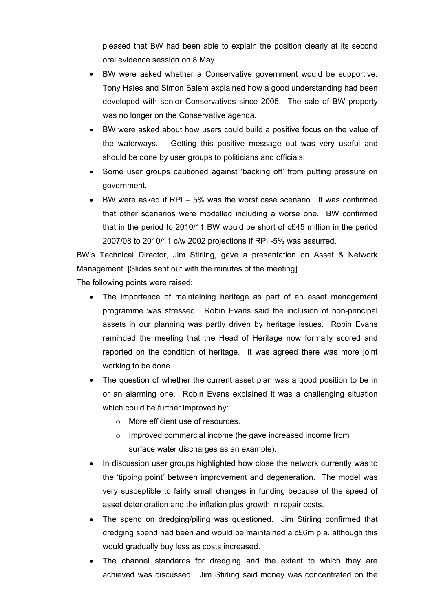pleased that BW had been able to explain the position clearly at its second oral evidence session on 8 May.

- BW were asked whether a Conservative government would be supportive. Tony Hales and Simon Salem explained how a good understanding had been developed with senior Conservatives since 2005. The sale of BW property was no longer on the Conservative agenda.
- BW were asked about how users could build a positive focus on the value of the waterways. Getting this positive message out was very useful and should be done by user groups to politicians and officials.
- Some user groups cautioned against 'backing off' from putting pressure on government.
- BW were asked if RPI 5% was the worst case scenario. It was confirmed that other scenarios were modelled including a worse one. BW confirmed that in the period to 2010/11 BW would be short of c£45 million in the period 2007/08 to 2010/11 c/w 2002 projections if RPI -5% was assurred.

BW's Technical Director, Jim Stirling, gave a presentation on Asset & Network Management. [Slides sent out with the minutes of the meeting].

The following points were raised:

- The importance of maintaining heritage as part of an asset management programme was stressed. Robin Evans said the inclusion of non-principal assets in our planning was partly driven by heritage issues. Robin Evans reminded the meeting that the Head of Heritage now formally scored and reported on the condition of heritage. It was agreed there was more joint working to be done.
- The question of whether the current asset plan was a good position to be in or an alarming one. Robin Evans explained it was a challenging situation which could be further improved by:
	- o More efficient use of resources.
	- o Improved commercial income (he gave increased income from surface water discharges as an example).
- In discussion user groups highlighted how close the network currently was to the 'tipping point' between improvement and degeneration. The model was very susceptible to fairly small changes in funding because of the speed of asset deterioration and the inflation plus growth in repair costs.
- The spend on dredging/piling was questioned. Jim Stirling confirmed that dredging spend had been and would be maintained a c£6m p.a. although this would gradually buy less as costs increased.
- The channel standards for dredging and the extent to which they are achieved was discussed. Jim Stirling said money was concentrated on the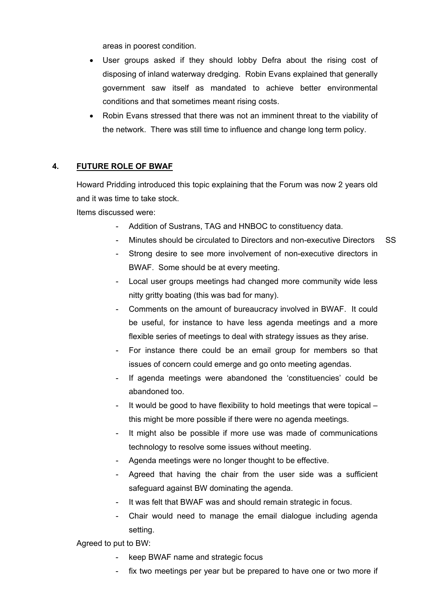areas in poorest condition.

- User groups asked if they should lobby Defra about the rising cost of disposing of inland waterway dredging. Robin Evans explained that generally government saw itself as mandated to achieve better environmental conditions and that sometimes meant rising costs.
- Robin Evans stressed that there was not an imminent threat to the viability of the network. There was still time to influence and change long term policy.

## **4. FUTURE ROLE OF BWAF**

Howard Pridding introduced this topic explaining that the Forum was now 2 years old and it was time to take stock.

Items discussed were:

- Addition of Sustrans, TAG and HNBOC to constituency data.
- Minutes should be circulated to Directors and non-executive Directors SS
- Strong desire to see more involvement of non-executive directors in BWAF. Some should be at every meeting.
- Local user groups meetings had changed more community wide less nitty gritty boating (this was bad for many).
- Comments on the amount of bureaucracy involved in BWAF. It could be useful, for instance to have less agenda meetings and a more flexible series of meetings to deal with strategy issues as they arise.
- For instance there could be an email group for members so that issues of concern could emerge and go onto meeting agendas.
- If agenda meetings were abandoned the 'constituencies' could be abandoned too.
- It would be good to have flexibility to hold meetings that were topical this might be more possible if there were no agenda meetings.
- It might also be possible if more use was made of communications technology to resolve some issues without meeting.
- Agenda meetings were no longer thought to be effective.
- Agreed that having the chair from the user side was a sufficient safeguard against BW dominating the agenda.
- It was felt that BWAF was and should remain strategic in focus.
- Chair would need to manage the email dialogue including agenda setting.

Agreed to put to BW:

- keep BWAF name and strategic focus
- fix two meetings per year but be prepared to have one or two more if